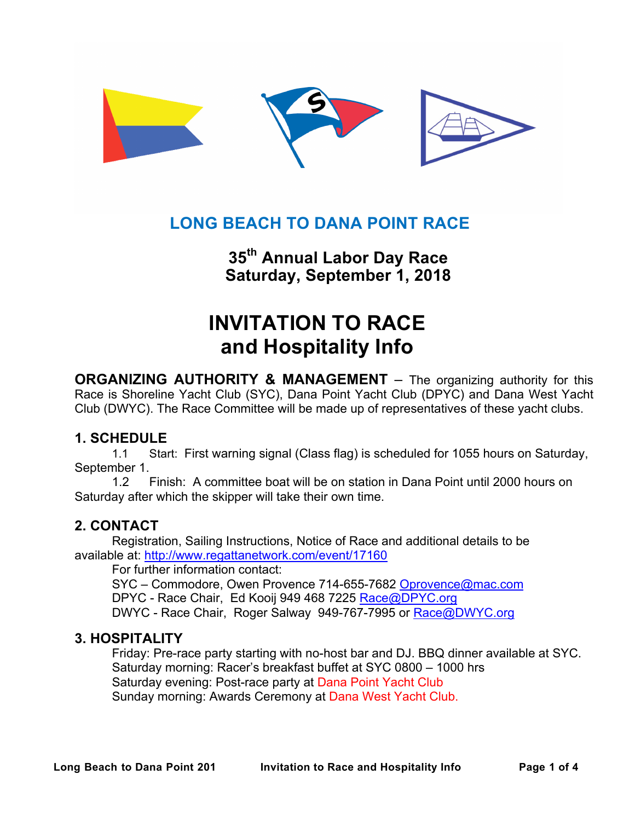

# **LONG BEACH TO DANA POINT RACE**

**35th Annual Labor Day Race Saturday, September 1, 2018**

# **INVITATION TO RACE and Hospitality Info**

**ORGANIZING AUTHORITY & MANAGEMENT** – The organizing authority for this Race is Shoreline Yacht Club (SYC), Dana Point Yacht Club (DPYC) and Dana West Yacht Club (DWYC). The Race Committee will be made up of representatives of these yacht clubs.

## **1. SCHEDULE**

1.1 Start: First warning signal (Class flag) is scheduled for 1055 hours on Saturday, September 1.

1.2 Finish: A committee boat will be on station in Dana Point until 2000 hours on Saturday after which the skipper will take their own time.

## **2. CONTACT**

Registration, Sailing Instructions, Notice of Race and additional details to be available at: http://www.regattanetwork.com/event/17160

For further information contact:

SYC - Commodore, Owen Provence 714-655-7682 Oprovence@mac.com DPYC - Race Chair, Ed Kooij 949 468 7225 Race@DPYC.org DWYC - Race Chair, Roger Salway 949-767-7995 or Race@DWYC.org

### **3. HOSPITALITY**

Friday: Pre-race party starting with no-host bar and DJ. BBQ dinner available at SYC. Saturday morning: Racer's breakfast buffet at SYC 0800 – 1000 hrs Saturday evening: Post-race party at Dana Point Yacht Club Sunday morning: Awards Ceremony at Dana West Yacht Club.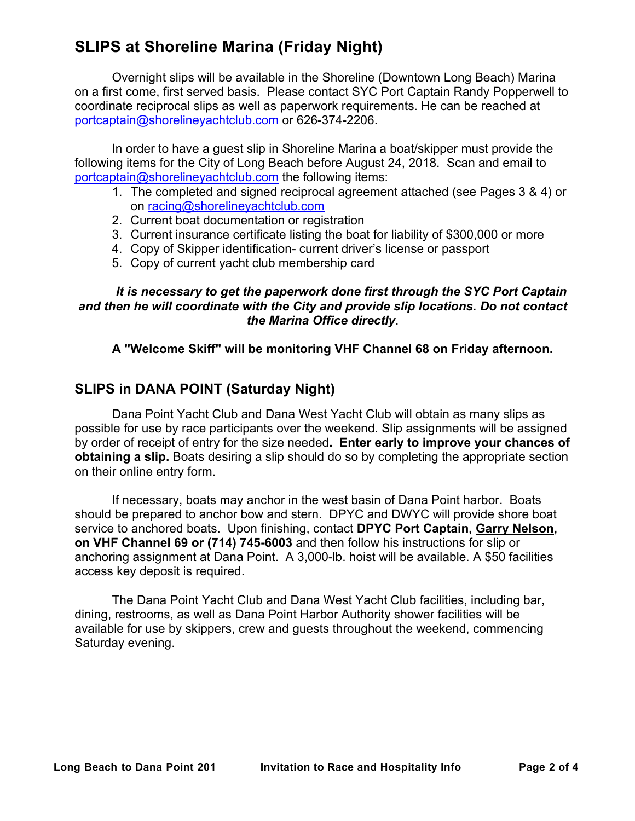# **SLIPS at Shoreline Marina (Friday Night)**

Overnight slips will be available in the Shoreline (Downtown Long Beach) Marina on a first come, first served basis. Please contact SYC Port Captain Randy Popperwell to coordinate reciprocal slips as well as paperwork requirements. He can be reached at portcaptain@shorelineyachtclub.com or 626-374-2206.

In order to have a guest slip in Shoreline Marina a boat/skipper must provide the following items for the City of Long Beach before August 24, 2018. Scan and email to portcaptain@shorelineyachtclub.com the following items:

- 1. The completed and signed reciprocal agreement attached (see Pages 3 & 4) or on racing@shorelineyachtclub.com
- 2. Current boat documentation or registration
- 3. Current insurance certificate listing the boat for liability of \$300,000 or more
- 4. Copy of Skipper identification- current driver's license or passport
- 5. Copy of current yacht club membership card

#### *It is necessary to get the paperwork done first through the SYC Port Captain and then he will coordinate with the City and provide slip locations. Do not contact the Marina Office directly*.

#### **A "Welcome Skiff" will be monitoring VHF Channel 68 on Friday afternoon.**

## **SLIPS in DANA POINT (Saturday Night)**

Dana Point Yacht Club and Dana West Yacht Club will obtain as many slips as possible for use by race participants over the weekend. Slip assignments will be assigned by order of receipt of entry for the size needed**. Enter early to improve your chances of obtaining a slip.** Boats desiring a slip should do so by completing the appropriate section on their online entry form.

If necessary, boats may anchor in the west basin of Dana Point harbor. Boats should be prepared to anchor bow and stern. DPYC and DWYC will provide shore boat service to anchored boats. Upon finishing, contact **DPYC Port Captain, Garry Nelson, on VHF Channel 69 or (714) 745-6003** and then follow his instructions for slip or anchoring assignment at Dana Point. A 3,000-lb. hoist will be available. A \$50 facilities access key deposit is required.

The Dana Point Yacht Club and Dana West Yacht Club facilities, including bar, dining, restrooms, as well as Dana Point Harbor Authority shower facilities will be available for use by skippers, crew and guests throughout the weekend, commencing Saturday evening.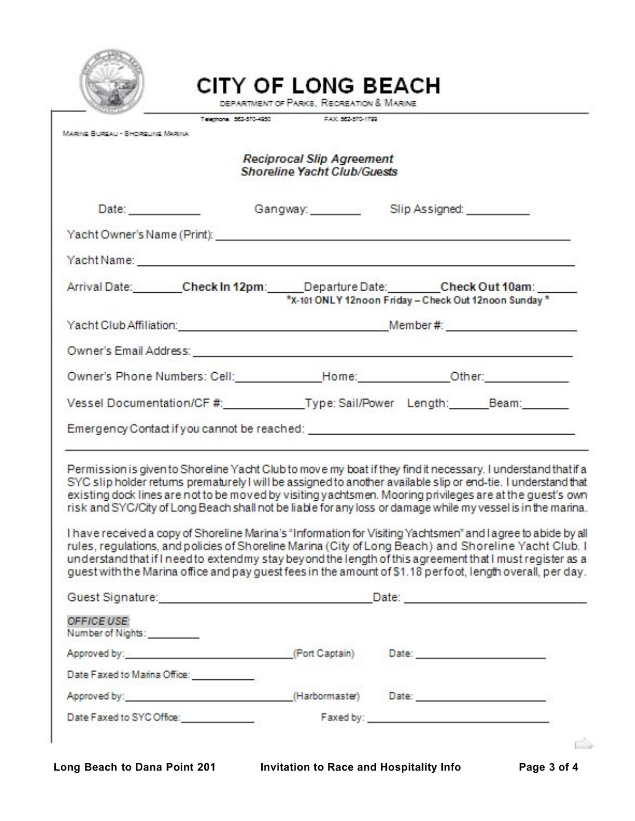

# **CITY OF LONG BEACH**

DEPARTMENT OF PARKS, RECREATION & MARINE

|                                                                                                                                                                                                                                                                                                                                                                                                                                                                                                                                                                                                                                                                                                                                                                                                                                                                                                                |  | Telephone: 552-570-4950 PAX: 552-570-1799                              |  |                                                       |
|----------------------------------------------------------------------------------------------------------------------------------------------------------------------------------------------------------------------------------------------------------------------------------------------------------------------------------------------------------------------------------------------------------------------------------------------------------------------------------------------------------------------------------------------------------------------------------------------------------------------------------------------------------------------------------------------------------------------------------------------------------------------------------------------------------------------------------------------------------------------------------------------------------------|--|------------------------------------------------------------------------|--|-------------------------------------------------------|
| MARINE BUREAU - SHORELINE MARINA                                                                                                                                                                                                                                                                                                                                                                                                                                                                                                                                                                                                                                                                                                                                                                                                                                                                               |  |                                                                        |  |                                                       |
|                                                                                                                                                                                                                                                                                                                                                                                                                                                                                                                                                                                                                                                                                                                                                                                                                                                                                                                |  | <b>Reciprocal Slip Agreement</b><br><b>Shoreline Yacht Club/Guests</b> |  |                                                       |
| Date: Date:                                                                                                                                                                                                                                                                                                                                                                                                                                                                                                                                                                                                                                                                                                                                                                                                                                                                                                    |  | Gangway: Slip Assigned: Cangway:                                       |  |                                                       |
|                                                                                                                                                                                                                                                                                                                                                                                                                                                                                                                                                                                                                                                                                                                                                                                                                                                                                                                |  |                                                                        |  |                                                       |
|                                                                                                                                                                                                                                                                                                                                                                                                                                                                                                                                                                                                                                                                                                                                                                                                                                                                                                                |  |                                                                        |  |                                                       |
| Arrival Date: Check In 12pm: Departure Date: Check Out 10am:                                                                                                                                                                                                                                                                                                                                                                                                                                                                                                                                                                                                                                                                                                                                                                                                                                                   |  |                                                                        |  | *x-101 ONLY 12noon Friday - Check Out 12noon Sunday * |
| Yacht Club Affiliation: Member #: Member #: Member #: Member #: Member #: Member #: Member #: Member #: Member #: 2007                                                                                                                                                                                                                                                                                                                                                                                                                                                                                                                                                                                                                                                                                                                                                                                         |  |                                                                        |  |                                                       |
|                                                                                                                                                                                                                                                                                                                                                                                                                                                                                                                                                                                                                                                                                                                                                                                                                                                                                                                |  |                                                                        |  |                                                       |
| Owner's Phone Numbers: Cell: Home: Now Home: National Cherry Common Common Cherry Common Cherry Common Cherry Common                                                                                                                                                                                                                                                                                                                                                                                                                                                                                                                                                                                                                                                                                                                                                                                           |  |                                                                        |  |                                                       |
| Vessel Documentation/CF #: Type: Sail/Power Length: Beam: Beam:                                                                                                                                                                                                                                                                                                                                                                                                                                                                                                                                                                                                                                                                                                                                                                                                                                                |  |                                                                        |  |                                                       |
|                                                                                                                                                                                                                                                                                                                                                                                                                                                                                                                                                                                                                                                                                                                                                                                                                                                                                                                |  |                                                                        |  |                                                       |
| Permission is given to Shoreline Yacht Club to move my boat if they find it necessary. I understand that if a<br>SYC slip holder returns prematurely I will be assigned to another available slip or end-tie. I understand that<br>existing dock lines are not to be moved by visiting yachtsmen. Mooring privileges are at the guest's own<br>risk and SYC/City of Long Beach shall not be liable for any loss or damage while my vessel is in the marina.<br>I have received a copy of Shoreline Marina's "Information for Visiting Yachtsmen" and I agree to abide by all<br>rules, regulations, and policies of Shoreline Marina (City of Long Beach) and Shoreline Yacht Club. I<br>understand that if I need to extendmy stay beyond the length of this agreement that I must register as a<br>guest with the Marina office and pay guest fees in the amount of \$1.18 perfoot, length overall, per day. |  |                                                                        |  |                                                       |
|                                                                                                                                                                                                                                                                                                                                                                                                                                                                                                                                                                                                                                                                                                                                                                                                                                                                                                                |  |                                                                        |  |                                                       |
| OFFICE USE:<br>Number of Nights: _________                                                                                                                                                                                                                                                                                                                                                                                                                                                                                                                                                                                                                                                                                                                                                                                                                                                                     |  |                                                                        |  |                                                       |
| Approved by: Approved by: Approved by: Approved by: Approved by: Approved by: Approved by: Approved by: Approved by: Approximate and Approved and Approved and Approved and Approved and Approved and Approved and Approved an                                                                                                                                                                                                                                                                                                                                                                                                                                                                                                                                                                                                                                                                                 |  |                                                                        |  |                                                       |
| Date Faxed to Marina Office: ____________                                                                                                                                                                                                                                                                                                                                                                                                                                                                                                                                                                                                                                                                                                                                                                                                                                                                      |  |                                                                        |  |                                                       |
| Approved by: Approved by: All the Contract of Harbormaster and Date: Approved by:                                                                                                                                                                                                                                                                                                                                                                                                                                                                                                                                                                                                                                                                                                                                                                                                                              |  |                                                                        |  |                                                       |
| Date Faxed to SYC Office:                                                                                                                                                                                                                                                                                                                                                                                                                                                                                                                                                                                                                                                                                                                                                                                                                                                                                      |  | Faxed by:                                                              |  |                                                       |

Ē,